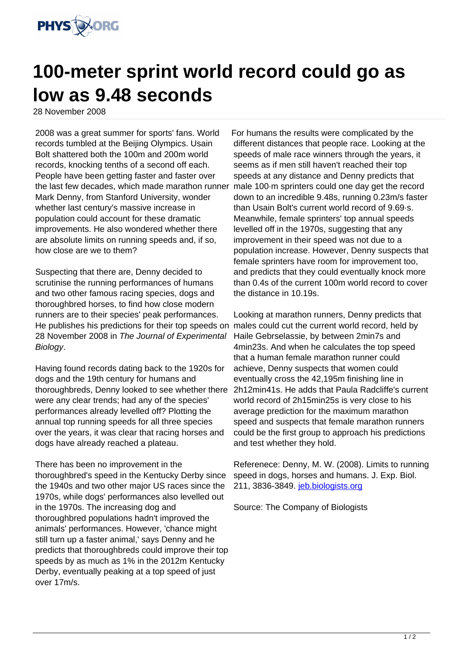

## **100-meter sprint world record could go as low as 9.48 seconds**

28 November 2008

2008 was a great summer for sports' fans. World records tumbled at the Beijing Olympics. Usain Bolt shattered both the 100m and 200m world records, knocking tenths of a second off each. People have been getting faster and faster over the last few decades, which made marathon runner Mark Denny, from Stanford University, wonder whether last century's massive increase in population could account for these dramatic improvements. He also wondered whether there are absolute limits on running speeds and, if so, how close are we to them?

Suspecting that there are, Denny decided to scrutinise the running performances of humans and two other famous racing species, dogs and thoroughbred horses, to find how close modern runners are to their species' peak performances. He publishes his predictions for their top speeds on males could cut the current world record, held by 28 November 2008 in The Journal of Experimental Biology.

Having found records dating back to the 1920s for dogs and the 19th century for humans and thoroughbreds, Denny looked to see whether there were any clear trends; had any of the species' performances already levelled off? Plotting the annual top running speeds for all three species over the years, it was clear that racing horses and dogs have already reached a plateau.

There has been no improvement in the thoroughbred's speed in the Kentucky Derby since the 1940s and two other major US races since the 1970s, while dogs' performances also levelled out in the 1970s. The increasing dog and thoroughbred populations hadn't improved the animals' performances. However, 'chance might still turn up a faster animal,' says Denny and he predicts that thoroughbreds could improve their top speeds by as much as 1% in the 2012m Kentucky Derby, eventually peaking at a top speed of just over 17m/s.

For humans the results were complicated by the different distances that people race. Looking at the speeds of male race winners through the years, it seems as if men still haven't reached their top speeds at any distance and Denny predicts that male 100·m sprinters could one day get the record down to an incredible 9.48s, running 0.23m/s faster than Usain Bolt's current world record of 9.69·s. Meanwhile, female sprinters' top annual speeds levelled off in the 1970s, suggesting that any improvement in their speed was not due to a population increase. However, Denny suspects that female sprinters have room for improvement too, and predicts that they could eventually knock more than 0.4s of the current 100m world record to cover the distance in 10.19s.

Looking at marathon runners, Denny predicts that Haile Gebrselassie, by between 2min7s and 4min23s. And when he calculates the top speed that a human female marathon runner could achieve, Denny suspects that women could eventually cross the 42,195m finishing line in 2h12min41s. He adds that Paula Radcliffe's current world record of 2h15min25s is very close to his average prediction for the maximum marathon speed and suspects that female marathon runners could be the first group to approach his predictions and test whether they hold.

Referenece: Denny, M. W. (2008). Limits to running speed in dogs, horses and humans. J. Exp. Biol. 211, 3836-3849. [jeb.biologists.org](http://jeb.biologists.org)

Source: The Company of Biologists